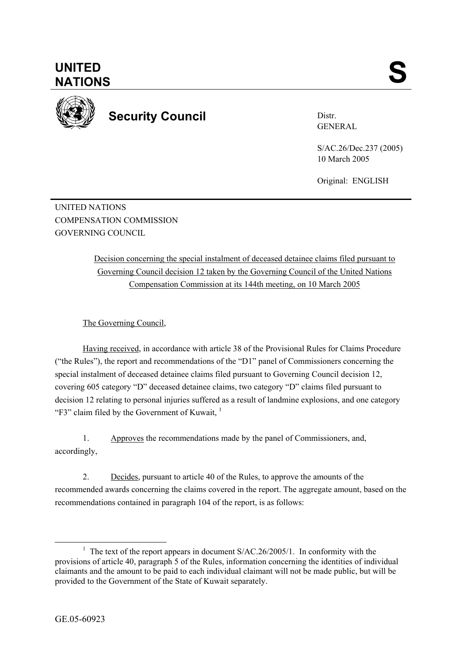

**Security Council** 

Distr. GENERAL

S/AC.26/Dec.237 (2005) 10 March 2005

Original: ENGLISH

UNITED NATIONS COMPENSATION COMMISSION GOVERNING COUNCIL

> Decision concerning the special instalment of deceased detainee claims filed pursuant to Governing Council decision 12 taken by the Governing Council of the United Nations Compensation Commission at its 144th meeting, on 10 March 2005

The Governing Council,

Having received, in accordance with article 38 of the Provisional Rules for Claims Procedure ("the Rules"), the report and recommendations of the "D1" panel of Commissioners concerning the special instalment of deceased detainee claims filed pursuant to Governing Council decision 12, covering 605 category "D" deceased detainee claims, two category "D" claims filed pursuant to decision 12 relating to personal injuries suffered as a result of landmine explosions, and one category "F3" claim filed by the Government of Kuwait. $<sup>1</sup>$ </sup>

1. Approves the recommendations made by the panel of Commissioners, and, accordingly,

2. Decides, pursuant to article 40 of the Rules, to approve the amounts of the recommended awards concerning the claims covered in the report. The aggregate amount, based on the recommendations contained in paragraph 104 of the report, is as follows:

<sup>&</sup>lt;u>1</u> <sup>1</sup> The text of the report appears in document  $S/AC.26/2005/1$ . In conformity with the provisions of article 40, paragraph 5 of the Rules, information concerning the identities of individual claimants and the amount to be paid to each individual claimant will not be made public, but will be provided to the Government of the State of Kuwait separately.